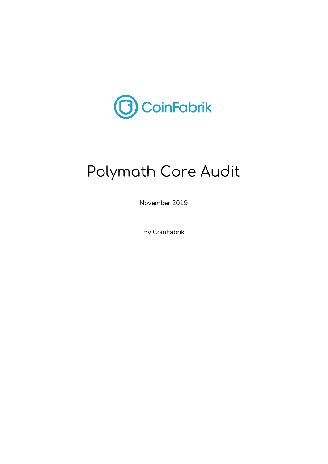

# Polymath Core Audit

November 2019

By CoinFabrik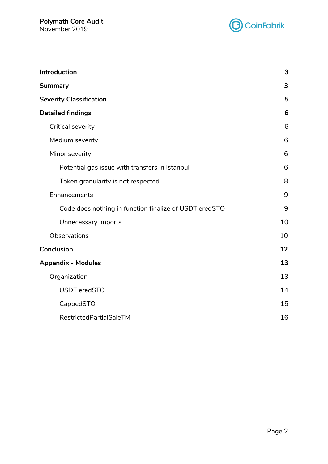

| Introduction                                           | 3  |
|--------------------------------------------------------|----|
| <b>Summary</b>                                         | 3  |
| <b>Severity Classification</b>                         | 5  |
| <b>Detailed findings</b>                               | 6  |
| Critical severity                                      | 6  |
| Medium severity                                        | 6  |
| Minor severity                                         | 6  |
| Potential gas issue with transfers in Istanbul         | 6  |
| Token granularity is not respected                     | 8  |
| Enhancements                                           | 9  |
| Code does nothing in function finalize of USDTieredSTO | 9  |
| Unnecessary imports                                    | 10 |
| Observations                                           | 10 |
| Conclusion                                             | 12 |
| <b>Appendix - Modules</b>                              | 13 |
| Organization                                           | 13 |
| <b>USDTieredSTO</b>                                    | 14 |
| CappedSTO                                              | 15 |
| RestrictedPartialSaleTM                                | 16 |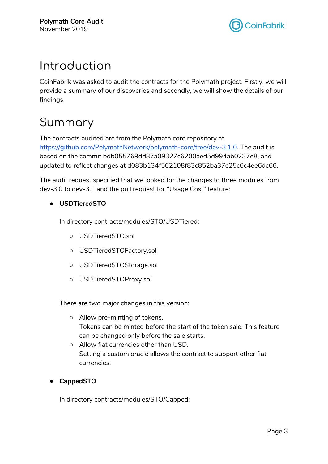

## <span id="page-2-0"></span>Introduction

CoinFabrik was asked to audit the contracts for the Polymath project. Firstly, we will provide a summary of our discoveries and secondly, we will show the details of our findings.

## <span id="page-2-1"></span>Summary

The contracts audited are from the Polymath core repository at [https://github.com/PolymathNetwork/polymath-core/tree/dev-3.1.0.](https://github.com/PolymathNetwork/polymath-core/tree/dev-3.1.0) The audit is based on the commit bdb055769dd87a09327c6200aed5d994ab0237e8, and updated to reflect changes at d083b134f562108f83c852ba37e25c6c4ee6dc66.

The audit request specified that we looked for the changes to three modules from dev-3.0 to dev-3.1 and the pull request for "Usage Cost" feature:

● **USDTieredSTO**

In directory contracts/modules/STO/USDTiered:

- USDTieredSTO.sol
- USDTieredSTOFactory.sol
- USDTieredSTOStorage.sol
- USDTieredSTOProxy.sol

There are two major changes in this version:

- Allow pre-minting of tokens. Tokens can be minted before the start of the token sale. This feature can be changed only before the sale starts.
- Allow fiat currencies other than USD. Setting a custom oracle allows the contract to support other fiat currencies.
- **CappedSTO**

In directory contracts/modules/STO/Capped: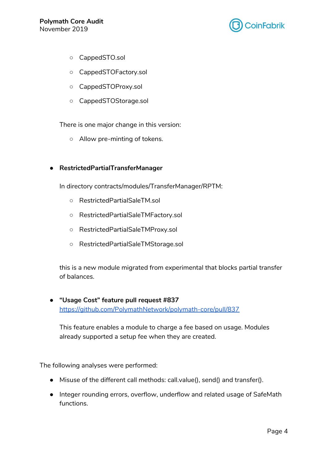

- CappedSTO.sol
- CappedSTOFactory.sol
- CappedSTOProxy.sol
- CappedSTOStorage.sol

There is one major change in this version:

○ Allow pre-minting of tokens.

#### ● **RestrictedPartialTransferManager**

In directory contracts/modules/TransferManager/RPTM:

- RestrictedPartialSaleTM.sol
- RestrictedPartialSaleTMFactory.sol
- RestrictedPartialSaleTMProxy.sol
- RestrictedPartialSaleTMStorage.sol

this is a new module migrated from experimental that blocks partial transfer of balances.

#### ● **"Usage Cost" feature pull request #837** <https://github.com/PolymathNetwork/polymath-core/pull/837>

This feature enables a module to charge a fee based on usage. Modules already supported a setup fee when they are created.

The following analyses were performed:

- Misuse of the different call methods: call.value(), send() and transfer().
- Integer rounding errors, overflow, underflow and related usage of SafeMath functions.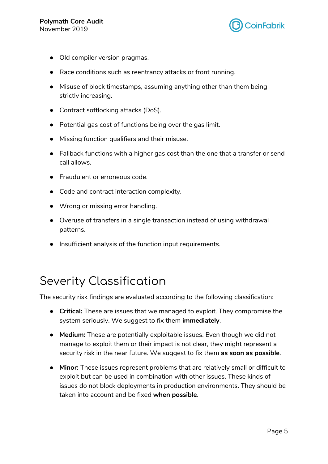

- Old compiler version pragmas.
- Race conditions such as reentrancy attacks or front running.
- Misuse of block timestamps, assuming anything other than them being strictly increasing.
- Contract softlocking attacks (DoS).
- Potential gas cost of functions being over the gas limit.
- Missing function qualifiers and their misuse.
- Fallback functions with a higher gas cost than the one that a transfer or send call allows.
- Fraudulent or erroneous code.
- Code and contract interaction complexity.
- Wrong or missing error handling.
- Overuse of transfers in a single transaction instead of using withdrawal patterns.
- Insufficient analysis of the function input requirements.

## <span id="page-4-0"></span>Severity Classification

The security risk findings are evaluated according to the following classification:

- **Critical:** These are issues that we managed to exploit. They compromise the system seriously. We suggest to fix them **immediately**.
- **Medium:** These are potentially exploitable issues. Even though we did not manage to exploit them or their impact is not clear, they might represent a security risk in the near future. We suggest to fix them **as soon as possible**.
- **Minor:** These issues represent problems that are relatively small or difficult to exploit but can be used in combination with other issues. These kinds of issues do not block deployments in production environments. They should be taken into account and be fixed **when possible**.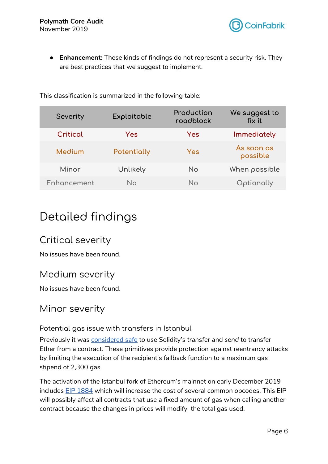

● **Enhancement:** These kinds of findings do not represent a security risk. They are best practices that we suggest to implement.

| Severity    | Exploitable | Production<br>roadblock | We suggest to<br>fix it |
|-------------|-------------|-------------------------|-------------------------|
| Critical    | Yes         | Yes                     | Immediately             |
| Medium      | Potentially | Yes                     | As soon as<br>possible  |
| Minor       | Unlikely    | <b>No</b>               | When possible           |
| Enhancement | No          | No                      | Optionally              |

This classification is summarized in the following table:

### <span id="page-5-0"></span>Detailed findings

### <span id="page-5-1"></span>Critical severity

No issues have been found.

### <span id="page-5-2"></span>Medium severity

No issues have been found.

### <span id="page-5-3"></span>Minor severity

<span id="page-5-4"></span>Potential gas issue with transfers in Istanbul

Previously it was [considered](https://ethereum.stackexchange.com/questions/19341/address-send-vs-address-transfer-best-practice-usage) safe to use Solidity's *transfer* and *send* to transfer Ether from a contract. These primitives provide protection against reentrancy attacks by limiting the execution of the recipient's fallback function to a maximum gas stipend of 2,300 gas.

The activation of the Istanbul fork of Ethereum's mainnet on early December 2019 includes **EIP [1884](https://eips.ethereum.org/EIPS/eip-1884)** which will increase the cost of several common opcodes. This EIP will possibly affect all contracts that use a fixed amount of gas when calling another contract because the changes in prices will modify the total gas used.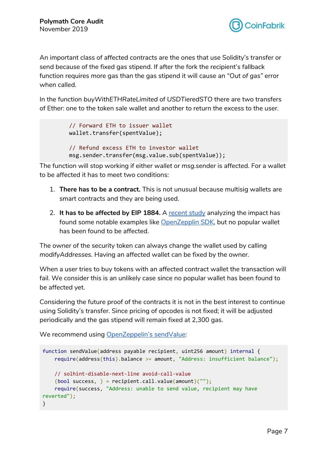

An important class of affected contracts are the ones that use Solidity's transfer or send because of the fixed gas stipend. If after the fork the recipient's fallback function requires more gas than the gas stipend it will cause an *"Out of gas"* error when called.

In the function *buyWithETHRateLimited* of *USDTieredSTO* there are two transfers of Ether: one to the token sale wallet and another to return the excess to the user.

```
// Forward ETH to issuer wallet
wallet.transfer(spentValue);
// Refund excess ETH to investor wallet
msg.sender.transfer(msg.value.sub(spentValue));
```
The function will stop working if either *wallet* or *msg.sender* is affected. For a wallet to be affected it has to meet two conditions:

- 1. **There has to be a contract.** This is not unusual because multisig wallets are smart contracts and they are being used.
- 2. **It has to be affected by EIP 1884.** A [recent](https://gist.github.com/ritzdorf/1c6bd72955391e831f8a397d3152b4e0) study analyzing the impact has found some notable examples like [OpenZepplin](https://blog.openzeppelin.com/reentrancy-after-istanbul/) SDK, but no popular wallet has been found to be affected.

The owner of the security token can always change the wallet used by calling *modifyAddresses*. Having an affected wallet can be fixed by the owner.

When a user tries to buy tokens with an affected contract wallet the transaction will fail. We consider this is an unlikely case since no popular wallet has been found to be affected yet.

Considering the future proof of the contracts it is not in the best interest to continue using Solidity's transfer. Since pricing of opcodes is not fixed; it will be adjusted periodically and the gas stipend will remain fixed at 2,300 gas.

We recommend using [OpenZeppelin's](https://github.com/OpenZeppelin/openzeppelin-contracts/blob/v2.4.0/contracts/utils/Address.sol#L61-L67) sendValue:

```
function sendValue(address payable recipient, uint256 amount) internal {
   require(address(this).balance >= amount, "Address: insufficient balance");
   // solhint-disable-next-line avoid-call-value
   (bool success, ) = recipient.call.value(amount)("");require(success, "Address: unable to send value, recipient may have
reverted");
}
```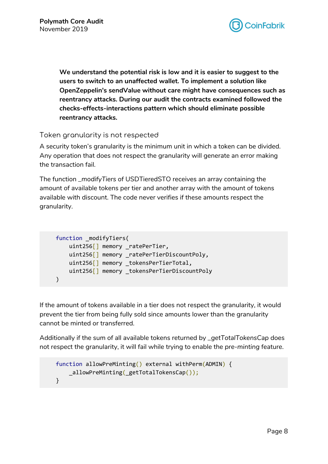

**We understand the potential risk is low and it is easier to suggest to the users to switch to an unaffected wallet. To implement a solution like OpenZeppelin's sendValue without care might have consequences such as reentrancy attacks. During our audit the contracts examined followed the checks-effects-interactions pattern which should eliminate possible reentrancy attacks.**

#### <span id="page-7-0"></span>Token granularity is not respected

A security token's granularity is the minimum unit in which a token can be divided. Any operation that does not respect the granularity will generate an error making the transaction fail.

The function *\_modifyTiers* of USDTieredSTO receives an array containing the amount of available tokens per tier and another array with the amount of tokens available with discount. The code never verifies if these amounts respect the granularity.

```
function modifyTiers(
    uint256[] memory _ratePerTier,
    uint256[] memory _ratePerTierDiscountPoly,
    uint256[] memory _tokensPerTierTotal,
    uint256[] memory _tokensPerTierDiscountPoly
\left( \right)
```
If the amount of tokens available in a tier does not respect the granularity, it would prevent the tier from being fully sold since amounts lower than the granularity cannot be minted or transferred.

Additionally if the sum of all available tokens returned by *\_getTotalTokensCap* does not respect the granularity, it will fail while trying to enable the *pre-minting* feature.

```
function allowPreMinting() external withPerm(ADMIN) {
    _allowPreMinting(_getTotalTokensCap());
}
```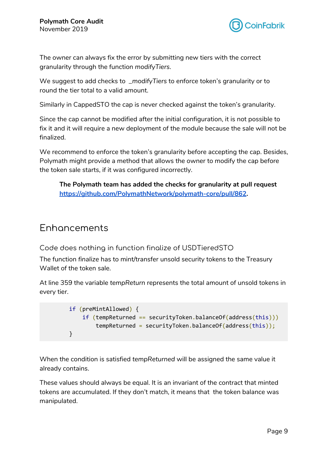

The owner can always fix the error by submitting new tiers with the correct granularity through the function *modifyTiers*.

We suggest to add checks to *\_modifyTiers* to enforce token's granularity or to round the tier total to a valid amount.

Similarly in CappedSTO the cap is never checked against the token's granularity.

Since the cap cannot be modified after the initial configuration, it is not possible to fix it and it will require a new deployment of the module because the sale will not be finalized.

We recommend to enforce the token's granularity before accepting the cap. Besides, Polymath might provide a method that allows the owner to modify the cap before the token sale starts, if it was configured incorrectly.

**The Polymath team has added the checks for granularity at pull request <https://github.com/PolymathNetwork/polymath-core/pull/862>.**

### <span id="page-8-0"></span>Enhancements

<span id="page-8-1"></span>Code does nothing in function finalize of USDTieredSTO

The function *finalize* has to mint/transfer unsold security tokens to the Treasury Wallet of the token sale.

At line 359 the variable *tempReturn* represents the total amount of unsold tokens in every tier.

```
if (preMintAllowed) {
    if (tempReturned == securityToken.balanceOf(address(this)))
        tempReturned = securityToken.balanceOf(address(this));
}
```
When the condition is satisfied *tempReturned* will be assigned the same value it already contains.

These values should always be equal. It is an invariant of the contract that minted tokens are accumulated. If they don't match, it means that the token balance was manipulated.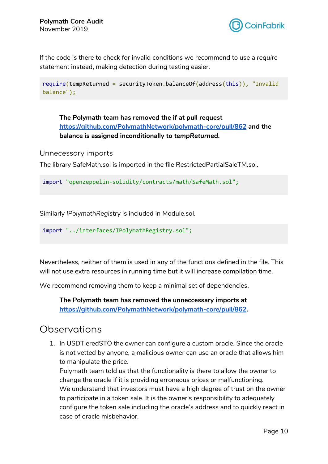

If the code is there to check for invalid conditions we recommend to use a *require* statement instead, making detection during testing easier.

```
require(tempReturned = securityToken.balanceOf(address(this)), "Invalid
balance");
```
**The Polymath team has removed the if at pull request <https://github.com/PolymathNetwork/polymath-core/pull/862> and the balance is assigned inconditionally to** *tempReturned***.**

<span id="page-9-0"></span>Unnecessary imports

The library SafeMath.sol is imported in the file RestrictedPartialSaleTM.sol.

```
import "openzeppelin-solidity/contracts/math/SafeMath.sol";
```
Similarly *IPolymathRegistry* is included in Module.sol.

import "../interfaces/IPolymathRegistry.sol";

Nevertheless, neither of them is used in any of the functions defined in the file. This will not use extra resources in running time but it will increase compilation time.

We recommend removing them to keep a minimal set of dependencies.

**The Polymath team has removed the unneccessary imports at <https://github.com/PolymathNetwork/polymath-core/pull/862>.**

#### <span id="page-9-1"></span>**Observations**

1. In USDTieredSTO the owner can configure a custom oracle. Since the oracle is not vetted by anyone, a malicious owner can use an oracle that allows him to manipulate the price.

Polymath team told us that the functionality is there to allow the owner to change the oracle if it is providing erroneous prices or malfunctioning. We understand that investors must have a high degree of trust on the owner to participate in a token sale. It is the owner's responsibility to adequately configure the token sale including the oracle's address and to quickly react in case of oracle misbehavior.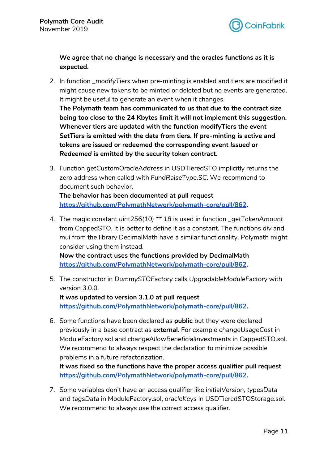

**We agree that no change is necessary and the oracles functions as it is expected.**

- 2. In function *\_modifyTiers* when pre-minting is enabled and tiers are modified it might cause new tokens to be minted or deleted but no events are generated. It might be useful to generate an event when it changes. **The Polymath team has communicated to us that due to the contract size being too close to the 24 Kbytes limit it will not implement this suggestion. Whenever tiers are updated with the function modifyTiers the event** *SetTiers* **is emitted with the data from tiers. If pre-minting is active and tokens are issued or redeemed the corresponding event** *Issued* **or** *Redeemed* **is emitted by the security token contract.**
- 3. Function *getCustomOracleAddress* in USDTieredSTO implicitly returns the zero address when called with *FundRaiseType.SC*. We recommend to document such behavior.

**The behavior has been documented at pull request <https://github.com/PolymathNetwork/polymath-core/pull/862>.**

4. The magic constant *uint256(10) \*\* 18* is used in function *\_getTokenAmount* from CappedSTO. It is better to define it as a constant. The functions *div* and *mul* from the library DecimalMath have a similar functionality. Polymath might consider using them instead.

**Now the contract uses the functions provided by DecimalMath <https://github.com/PolymathNetwork/polymath-core/pull/862>.**

- 5. The constructor in *DummySTOFactory* calls *UpgradableModuleFactory* with version 3.0.0. **It was updated to version 3.1.0 at pull request <https://github.com/PolymathNetwork/polymath-core/pull/862>.**
- 6. Some functions have been declared as **public** but they were declared previously in a base contract as **external**. For example *changeUsageCost* in ModuleFactory.sol and *changeAllowBeneficialInvestments* in CappedSTO.sol. We recommend to always respect the declaration to minimize possible problems in a future refactorization.

**It was fixed so the functions have the proper access qualifier pull request <https://github.com/PolymathNetwork/polymath-core/pull/862>.**

7. Some variables don't have an access qualifier like *initialVersion*, *typesData* and *tagsData* in ModuleFactory.sol, *oracleKeys* in USDTieredSTOStorage.sol. We recommend to always use the correct access qualifier.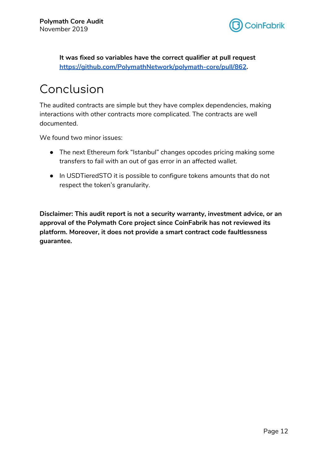

**It was fixed so variables have the correct qualifier at pull request <https://github.com/PolymathNetwork/polymath-core/pull/862>.**

## <span id="page-11-0"></span>Conclusion

The audited contracts are simple but they have complex dependencies, making interactions with other contracts more complicated. The contracts are well documented.

We found two minor issues:

- The next Ethereum fork "Istanbul" changes opcodes pricing making some transfers to fail with an out of gas error in an affected wallet.
- In USDTieredSTO it is possible to configure tokens amounts that do not respect the token's granularity.

**Disclaimer: This audit report is not a security warranty, investment advice, or an approval of the Polymath Core project since CoinFabrik has not reviewed its platform. Moreover, it does not provide a smart contract code faultlessness guarantee.**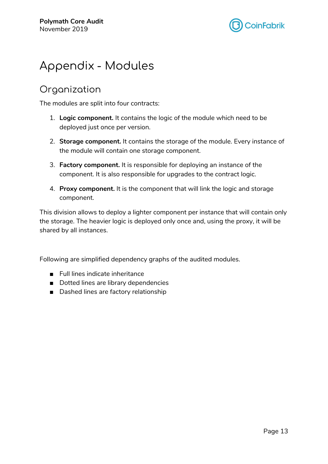

### <span id="page-12-0"></span>Appendix - Modules

### <span id="page-12-1"></span>Organization

The modules are split into four contracts:

- 1. **Logic component.** It contains the logic of the module which need to be deployed just once per version.
- 2. **Storage component.** It contains the storage of the module. Every instance of the module will contain one storage component.
- 3. **Factory component.** It is responsible for deploying an instance of the component. It is also responsible for upgrades to the contract logic.
- 4. **Proxy component.** It is the component that will link the logic and storage component.

This division allows to deploy a lighter component per instance that will contain only the storage. The heavier logic is deployed only once and, using the proxy, it will be shared by all instances.

Following are simplified dependency graphs of the audited modules.

- Full lines indicate inheritance
- Dotted lines are library dependencies
- Dashed lines are factory relationship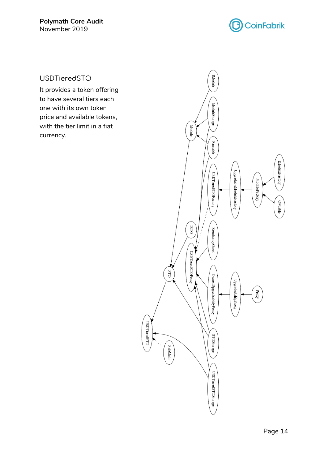

<span id="page-13-0"></span>USDTieredSTO

It provides a token offering to have several tiers each one with its own token price and available tokens, with the tier limit in a fiat currency.

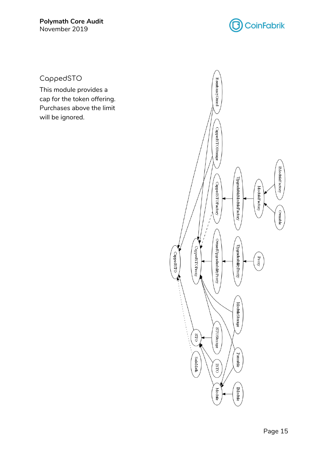

<span id="page-14-0"></span>CappedSTO

This module provides a cap for the token offering. Purchases above the limit will be ignored.